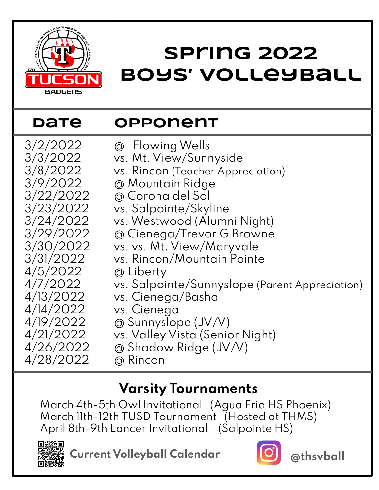

## **Spring 2022 Boys' Volleyball**

## **Date Opponent**

3/2/2022 @ Flowing Wells 3/3/2022 vs. Mt. View/Sunnyside 3/8/2022 vs. Rincon (Teacher Appreciation)<br>3/9/2022 @ Mountain Ridge 3/9/2022 @ Mountain Ridge 3/22/2022 @ Corona del Sol 3/23/2022 vs. Salpointe/Skyline 3/24/2022 vs. Westwood (Alumni Night) @ Cienega/Trevor G Browne 3/30/2022 vs. vs. Mt. View/Maryvale 3/31/2022 vs. Rincon/Mountain Pointe 4/5/2022 @ Liberty 4/7/2022 vs. Salpointe/Sunnyslope (Parent Appreciation) 4/13/2022 vs. Cienega/Basha 4/14/2022 vs. Cienega  $4/19/2022$  @ Sunnyslope  $(JV/V)$ 4/21/2022 vs. Valley Vista (Senior Night)<br>4/26/2022 @ Shadow Ridge (JV/V)  $@$  Shadow Ridge (JV/V)

4/28/2022 @ Rincon

## **Varsity Tournaments**

March 4th-5th Owl Invitational (Agua Fria HS Phoenix) March 11th-12th TUSD Tournament (Hosted at THMS) April 8th-9th Lancer Invitational (Salpointe HS)



**Current Volleyball Calendar @thsvball**